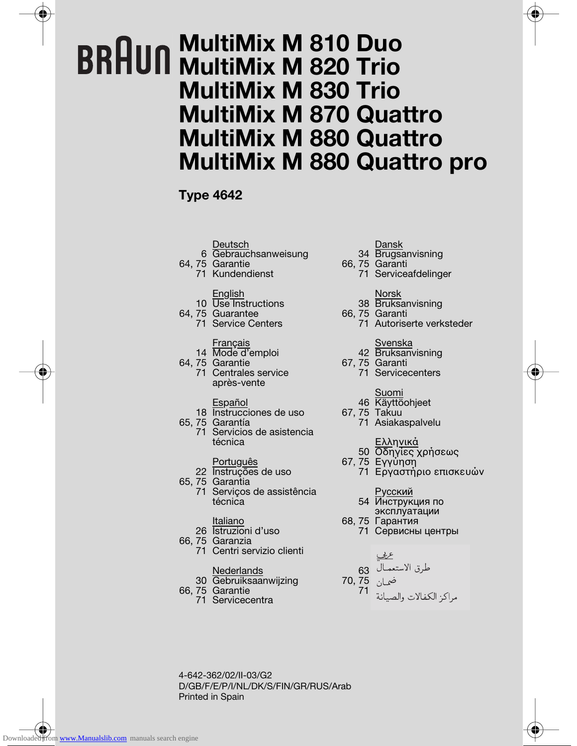# **MultiMix M 810 Duo MultiMix M 820 Trio MultiMix M 830 Trio MultiMix M 870 Quattro MultiMix M 880 Quattro MultiMix M 880 Quattro pro**

# **Type 4642**

#### Deutsch

- 6 Gebrauchsanweisung
- 64, 75 Garantie
	- 71 Kundendienst

#### English

- 10 Use Instructions
- 64, 75 Guarantee
	- 71 Service Centers

#### Français

- 14 Mode d'emploi
- 64, 75 Garantie
	- 71 Centrales service après-vente

#### **Español**

- 18 Instrucciones de uso
- 65, 75 Garantía
	- 71 Servicios de asistencia técnica

#### Português

- 22 Instruções de uso
- 65, 75 Garantia
	- 71 Serviços de assistência técnica

#### Italiano

- 26 Istruzioni d'uso
- 66, 75 Garanzia
	- 71 Centri servizio clienti

#### **Nederlands**

- 30 Gebruiksaanwijzing
- 66, 75 Garantie
	- 71 Servicecentra

#### Dansk

- 34 Brugsanvisning
- 66, 75 Garanti
	- 71 Serviceafdelinger
		- **Norsk**
		- 38 Bruksanvisning
- 66, 75 Garanti
	- 71 Autoriserte verksteder

#### <u>Svenska</u>

- 42 Bruksanvisning
- 67, 75 Garanti
	- 71 Servicecenters

#### Suomi

- 46 Käyttöohjeet
- 67, 75 Takuu
	- 71 Asiakaspalvelu
		- <u>Ελληνικά</u>
	- 50 δηγίες ρήσεως
- 67, 75 Εγγύηση
	- 71 Εργαστήριο επισκευών
		- <u>Русский</u>
	- 54 Инструкция по эксплуатации
- 68, 75
	- 71 Сервисны центры

63

$$
\begin{array}{cc}\n70, 75 & \text{J} \\
71 & \text{J} \\
\hline\n\end{array}
$$

4-642-362/02/II-03/G2 D/GB/F/E/P/I/NL/DK/S/FIN/GR/RUS/Arab Printed in Spain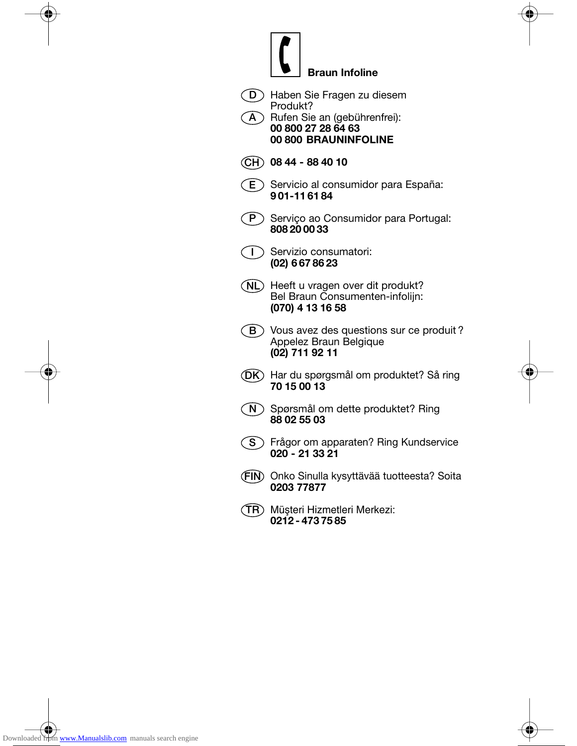# **Braun Infoline**

- **D**) Haben Sie Fragen zu diesem Produkt?
- A) Rufen Sie an (gebührenfrei): **00 800 27 28 64 63 00 800 BRAUNINFOLINE**
- **08 44 88 40 10 CH**
- **E**) Servicio al consumidor para España: **9 01-11 61 84**
- **P**) Serviço ao Consumidor para Portugal: **808 20 00 33**
- **I** ) Servizio consumatori: **(02) 6 67 86 23**
- **NL**) Heeft u vragen over dit produkt? Bel Braun Consumenten-infolijn: **(070) 4 13 16 58**
- **B**) Vous avez des questions sur ce produit? Appelez Braun Belgique **(02) 711 92 11**
- $\left(\textsf{DK}\right)$  Har du spørgsmål om produktet? Så ring **70 15 00 13**
- **N**) Spørsmål om dette produktet? Ring **88 02 55 03**
- Frågor om apparaten? Ring Kundservice **S 020 - 21 33 21**
- Onko Sinulla kysyttävää tuotteesta? Soita **FIN 0203 77877**
- **TR**)Müşteri Hizmetleri Merkezi: **0212 - 473 75 85**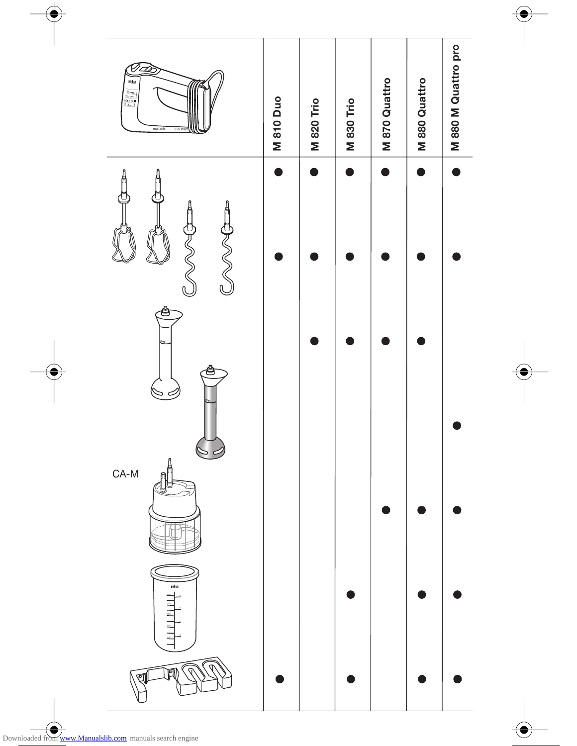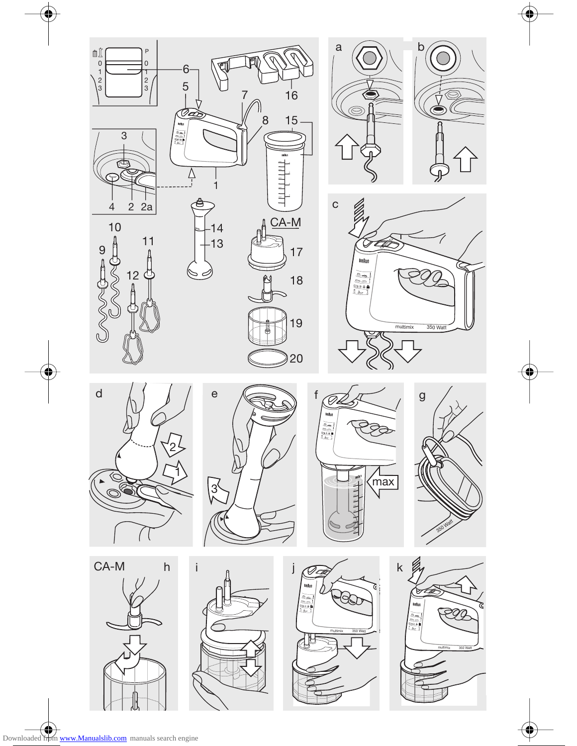

Downloaded from [www.Manualslib.com](http://www.manualslib.com/) manuals search engine

♦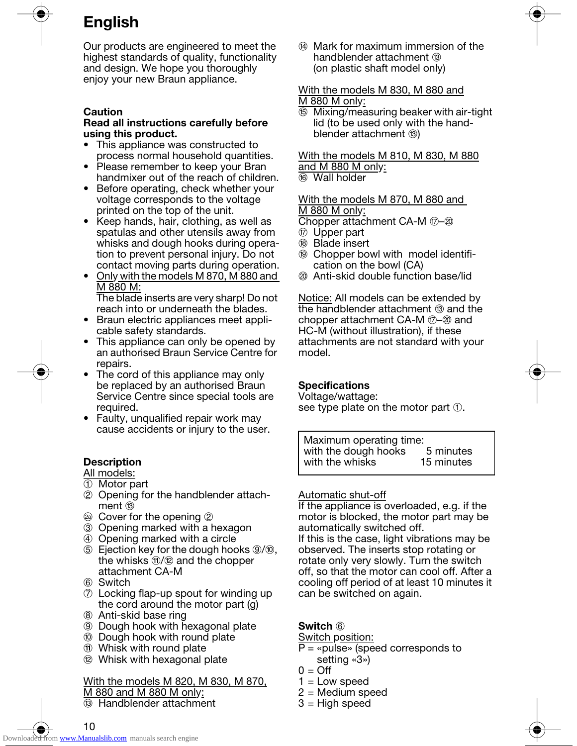# **English**

Our products are engineered to meet the highest standards of quality, functionality and design. We hope you thoroughly enjoy your new Braun appliance.

#### **Caution**

#### **Read all instructions carefully before using this product.**

- This appliance was constructed to process normal household quantities.
- Please remember to keep your Bran handmixer out of the reach of children.
- Before operating, check whether your voltage corresponds to the voltage printed on the top of the unit.
- Keep hands, hair, clothing, as well as spatulas and other utensils away from whisks and dough hooks during operation to prevent personal injury. Do not contact moving parts during operation.
- Only with the models M 870, M 880 and M 880 M: The blade inserts are very sharp! Do not reach into or underneath the blades.
- Braun electric appliances meet applicable safety standards.
- This appliance can only be opened by an authorised Braun Service Centre for repairs.
- The cord of this appliance may only be replaced by an authorised Braun Service Centre since special tools are required.
- Faulty, unqualified repair work may cause accidents or injury to the user.

#### **Description**

All models:

- 1 Motor part
- 2 Opening for the handblender attachment <sup>13</sup>
- <sup>2</sup> Cover for the opening 2
- 3 Opening marked with a hexagon
- 4 Opening marked with a circle
- $\circled{5}$  Ejection key for the dough hooks  $\circled{9}/\circled{0}$ , the whisks  $\omega/2$  and the chopper attachment CA-M
- 6 Switch
- $\oslash$  Locking flap-up spout for winding up the cord around the motor part (g)
- 8 Anti-skid base ring
- 9 Dough hook with hexagonal plate
- **10 Dough hook with round plate**
- $<sup>1</sup>$  Whisk with round plate</sup>
- **2** Whisk with hexagonal plate

#### With the models M 820, M 830, M 870, M 880 and M 880 M only:

**13 Handblender attachment** 

n Mark for maximum immersion of the handblender attachment ® (on plastic shaft model only)

#### With the models M 830, M 880 and M 880 M only:

**6** Mixing/measuring beaker with air-tight lid (to be used only with the handblender attachment ®)

#### With the models M 810, M 830, M 880 and M 880 M only:

**16** Wall holder

#### With the models M 870, M 880 and M 880 M only:

Chopper attachment CA-M  $\textcircled{r}$ – $\textcircled{r}$ 

- $\circledR$  Upper part
- <sup>18</sup> Blade insert
- $\circledR$  Chopper bowl with model identification on the bowl (CA)
- $@$  Anti-skid double function base/lid

Notice: All models can be extended by the handblender attachment  $\circledcirc$  and the chopper attachment CA-M  $\textcircled{r}$ – $\textcircled{a}$  and HC-M (without illustration), if these attachments are not standard with your model.

#### **Specifications**

Voltage/wattage: see type plate on the motor part  $\Phi$ .

Maximum operating time: with the dough hooks 5 minutes<br>with the whisks 15 minutes with the whisks

#### Automatic shut-off

If the appliance is overloaded, e.g. if the motor is blocked, the motor part may be automatically switched off. If this is the case, light vibrations may be observed. The inserts stop rotating or rotate only very slowly. Turn the switch off, so that the motor can cool off. After a cooling off period of at least 10 minutes it can be switched on again.

#### **Switch** 6

- Switch position:
- $P =$  «pulse» (speed corresponds to setting «3»)
- $0 = \text{Off}$
- $1 =$ Low speed
- $2 =$  Medium speed
- $3$  = High speed

10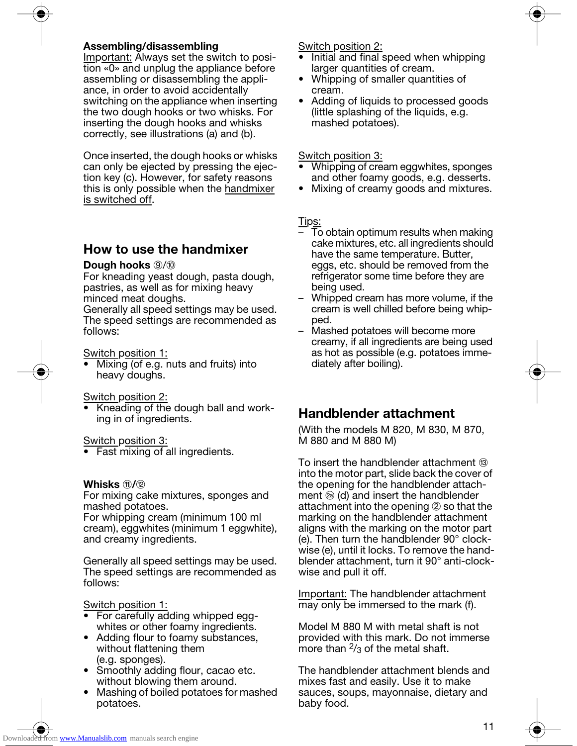#### **Assembling/disassembling**

Important: Always set the switch to position «0» and unplug the appliance before assembling or disassembling the appliance, in order to avoid accidentally switching on the appliance when inserting the two dough hooks or two whisks. For inserting the dough hooks and whisks correctly, see illustrations (a) and (b).

Once inserted, the dough hooks or whisks can only be ejected by pressing the ejection key (c). However, for safety reasons this is only possible when the handmixer is switched off.

#### **How to use the handmixer**

#### **Dough hooks** 9/10

For kneading yeast dough, pasta dough, pastries, as well as for mixing heavy minced meat doughs.

Generally all speed settings may be used. The speed settings are recommended as follows:

#### Switch position 1:

• Mixing (of e.g. nuts and fruits) into heavy doughs.

Switch position 2:

• Kneading of the dough ball and working in of ingredients.

#### Switch position 3:

• Fast mixing of all ingredients.

#### **Whisks**  $\mathbf{f}$ / $\mathbf{f}$

For mixing cake mixtures, sponges and mashed potatoes.

For whipping cream (minimum 100 ml cream), eggwhites (minimum 1 eggwhite), and creamy ingredients.

Generally all speed settings may be used. The speed settings are recommended as follows:

#### Switch position 1:

- For carefully adding whipped eggwhites or other foamy ingredients.
- Adding flour to foamy substances, without flattening them (e.g. sponges).
- Smoothly adding flour, cacao etc. without blowing them around.
- Mashing of boiled potatoes for mashed potatoes.

Switch position 2:

- Initial and final speed when whipping larger quantities of cream.
- Whipping of smaller quantities of cream.
- Adding of liquids to processed goods (little splashing of the liquids, e.g. mashed potatoes).

Switch position 3:

- Whipping of cream eggwhites, sponges and other foamy goods, e.g. desserts.
- Mixing of creamy goods and mixtures.

#### <u>Tips:</u>

- To obtain optimum results when making cake mixtures, etc. all ingredients should have the same temperature. Butter, eggs, etc. should be removed from the refrigerator some time before they are being used.
- Whipped cream has more volume, if the cream is well chilled before being whipped.
- Mashed potatoes will become more creamy, if all ingredients are being used as hot as possible (e.g. potatoes immediately after boiling).

# **Handblender attachment**

(With the models M 820, M 830, M 870, M 880 and M 880 M)

To insert the handblender attachment ® into the motor part, slide back the cover of the opening for the handblender attachment  $\circledcirc$  (d) and insert the handblender attachment into the opening 2 so that the marking on the handblender attachment aligns with the marking on the motor part (e). Then turn the handblender 90° clockwise (e), until it locks. To remove the handblender attachment, turn it 90° anti-clockwise and pull it off.

Important: The handblender attachment may only be immersed to the mark (f).

Model M 880 M with metal shaft is not provided with this mark. Do not immerse more than  $\frac{2}{3}$  of the metal shaft.

The handblender attachment blends and mixes fast and easily. Use it to make sauces, soups, mayonnaise, dietary and baby food.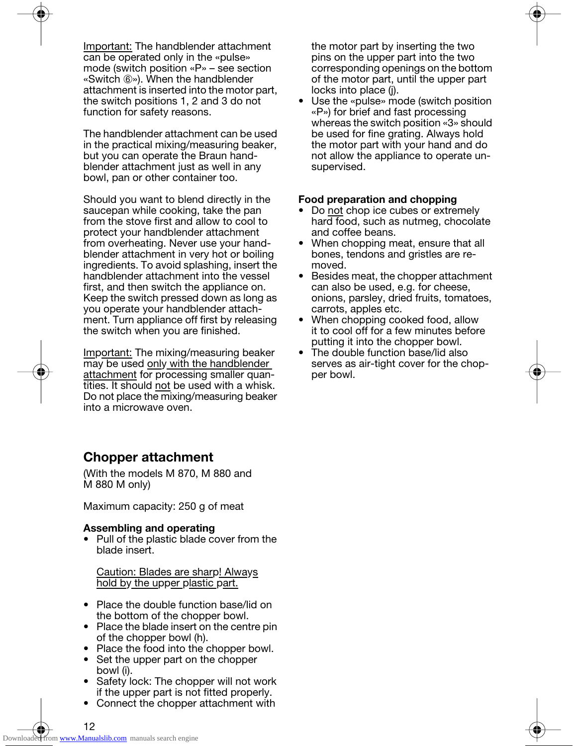Important: The handblender attachment can be operated only in the «pulse» mode (switch position «P» – see section «Switch 6»). When the handblender attachment is inserted into the motor part, the switch positions 1, 2 and 3 do not function for safety reasons.

The handblender attachment can be used in the practical mixing/measuring beaker, but you can operate the Braun handblender attachment just as well in any bowl, pan or other container too.

Should you want to blend directly in the saucepan while cooking, take the pan from the stove first and allow to cool to protect your handblender attachment from overheating. Never use your handblender attachment in very hot or boiling ingredients. To avoid splashing, insert the handblender attachment into the vessel first, and then switch the appliance on. Keep the switch pressed down as long as you operate your handblender attachment. Turn appliance off first by releasing the switch when you are finished.

Important: The mixing/measuring beaker may be used only with the handblender attachment for processing smaller quantities. It should not be used with a whisk. Do not place the mixing/measuring beaker into a microwave oven.

### **Chopper attachment**

(With the models M 870, M 880 and M 880 M only)

Maximum capacity: 250 g of meat

#### **Assembling and operating**

• Pull of the plastic blade cover from the blade insert.

Caution: Blades are sharp! Always hold by the upper plastic part.

- Place the double function base/lid on the bottom of the chopper bowl.
- Place the blade insert on the centre pin of the chopper bowl (h).
- Place the food into the chopper bowl.
- Set the upper part on the chopper bowl (i).
- Safety lock: The chopper will not work if the upper part is not fitted properly.
- Connect the chopper attachment with

the motor part by inserting the two pins on the upper part into the two corresponding openings on the bottom of the motor part, until the upper part locks into place (j).

• Use the «pulse» mode (switch position «P») for brief and fast processing whereas the switch position «3» should be used for fine grating. Always hold the motor part with your hand and do not allow the appliance to operate unsupervised.

#### **Food preparation and chopping**

- Do not chop ice cubes or extremely hard food, such as nutmeg, chocolate and coffee beans.
- When chopping meat, ensure that all bones, tendons and gristles are removed.
- Besides meat, the chopper attachment can also be used, e.g. for cheese, onions, parsley, dried fruits, tomatoes, carrots, apples etc.
- When chopping cooked food, allow it to cool off for a few minutes before putting it into the chopper bowl.
- The double function base/lid also serves as air-tight cover for the chopper bowl.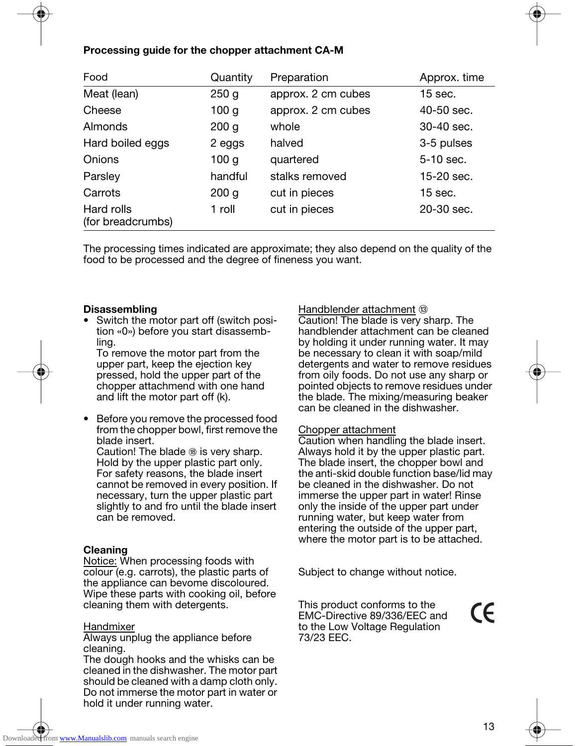#### **Processing guide for the chopper attachment CA-M**

| Food                            | Quantity         | Preparation        | Approx. time |
|---------------------------------|------------------|--------------------|--------------|
| Meat (lean)                     | 250 <sub>g</sub> | approx. 2 cm cubes | $15$ sec.    |
| Cheese                          | 100 <sub>g</sub> | approx. 2 cm cubes | 40-50 sec.   |
| <b>Almonds</b>                  | 200 <sub>g</sub> | whole              | 30-40 sec.   |
| Hard boiled eggs                | 2 eggs           | halved             | 3-5 pulses   |
| <b>Onions</b>                   | 100 <sub>g</sub> | quartered          | 5-10 sec.    |
| Parsley                         | handful          | stalks removed     | 15-20 sec.   |
| Carrots                         | 200 <sub>g</sub> | cut in pieces      | $15$ sec.    |
| Hard rolls<br>(for breadcrumbs) | $1$ roll         | cut in pieces      | 20-30 sec.   |

The processing times indicated are approximate; they also depend on the quality of the food to be processed and the degree of fineness you want.

#### **Disassembling**

• Switch the motor part off (switch position «0») before you start disassembling.

To remove the motor part from the upper part, keep the ejection key pressed, hold the upper part of the chopper attachmend with one hand and lift the motor part off (k).

• Before you remove the processed food from the chopper bowl, first remove the blade insert.

Caution! The blade  $\circledast$  is very sharp. Hold by the upper plastic part only. For safety reasons, the blade insert cannot be removed in every position. If necessary, turn the upper plastic part slightly to and fro until the blade insert can be removed.

#### **Cleaning**

Notice: When processing foods with colour (e.g. carrots), the plastic parts of the appliance can bevome discoloured. Wipe these parts with cooking oil, before cleaning them with detergents.

#### Handmixer

Always unplug the appliance before cleaning.

The dough hooks and the whisks can be cleaned in the dishwasher. The motor part should be cleaned with a damp cloth only. Do not immerse the motor part in water or hold it under running water.

#### Handblender attachment ®

Caution! The blade is very sharp. The handblender attachment can be cleaned by holding it under running water. It may be necessary to clean it with soap/mild detergents and water to remove residues from oily foods. Do not use any sharp or pointed objects to remove residues under the blade. The mixing/measuring beaker can be cleaned in the dishwasher.

#### Chopper attachment

Caution when handling the blade insert. Always hold it by the upper plastic part. The blade insert, the chopper bowl and the anti-skid double function base/lid may be cleaned in the dishwasher. Do not immerse the upper part in water! Rinse only the inside of the upper part under running water, but keep water from entering the outside of the upper part, where the motor part is to be attached.

Subject to change without notice.

This product conforms to the EMC-Directive 89/336/EEC and to the Low Voltage Regulation 73/23 EEC.